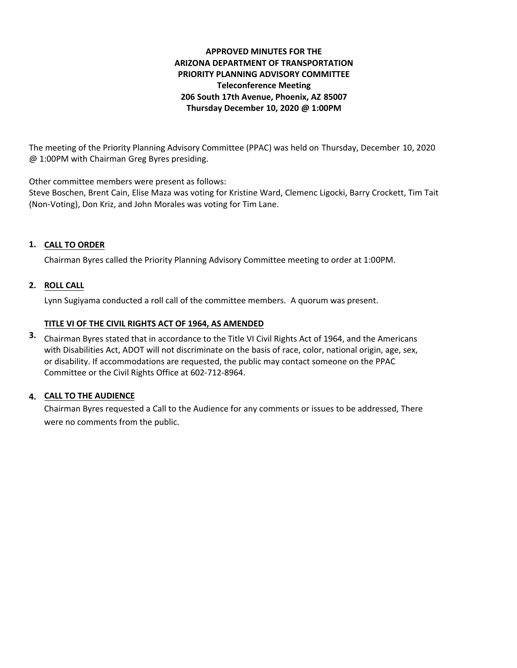# **APPROVED MINUTES FOR THE ARIZONA DEPARTMENT OF TRANSPORTATION PRIORITY PLANNING ADVISORY COMMITTEE Teleconference Meeting 206 South 17th Avenue, Phoenix, AZ 85007 Thursday December 10, 2020 @ 1:00PM**

The meeting of the Priority Planning Advisory Committee (PPAC) was held on Thursday, December 10, 2020 @ 1:00PM with Chairman Greg Byres presiding.

Other committee members were present as follows:

Steve Boschen, Brent Cain, Elise Maza was voting for Kristine Ward, Clemenc Ligocki, Barry Crockett, Tim Tait (Non-Voting), Don Kriz, and John Morales was voting for Tim Lane.

# **CALL TO ORDER 1.**

Chairman Byres called the Priority Planning Advisory Committee meeting to order at 1:00PM.

# **ROLL CALL 2.**

Lynn Sugiyama conducted a roll call of the committee members. A quorum was present.

## **TITLE VI OF THE CIVIL RIGHTS ACT OF 1964, AS AMENDED**

Chairman Byres stated that in accordance to the Title VI Civil Rights Act of 1964, and the Americans **3.** with Disabilities Act, ADOT will not discriminate on the basis of race, color, national origin, age, sex, or disability. If accommodations are requested, the public may contact someone on the PPAC Committee or the Civil Rights Office at 602-712-8964.

# **CALL TO THE AUDIENCE 4.**

Chairman Byres requested a Call to the Audience for any comments or issues to be addressed, There were no comments from the public.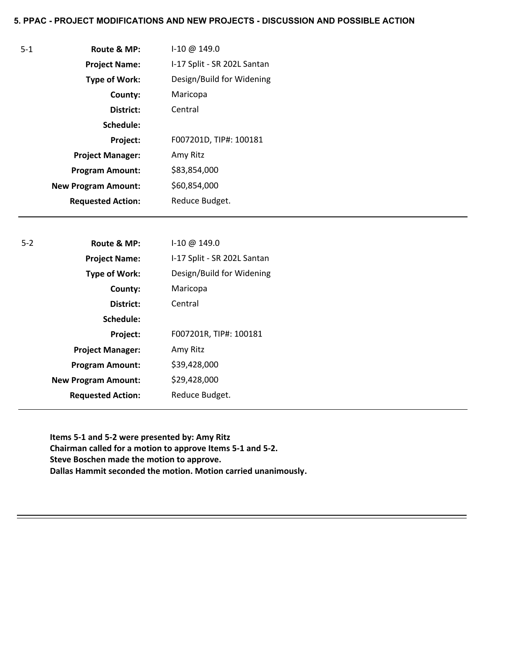### **5. PPAC - PROJECT MODIFICATIONS AND NEW PROJECTS - DISCUSSION AND POSSIBLE ACTION**

| Route & MP:                | $1-10 \omega 149.0$         |
|----------------------------|-----------------------------|
| <b>Project Name:</b>       | I-17 Split - SR 202L Santan |
| <b>Type of Work:</b>       | Design/Build for Widening   |
| County:                    | Maricopa                    |
| District:                  | Central                     |
| Schedule:                  |                             |
| Project:                   | F007201D, TIP#: 100181      |
| <b>Project Manager:</b>    | Amy Ritz                    |
| <b>Program Amount:</b>     | \$83,854,000                |
| <b>New Program Amount:</b> | \$60,854,000                |
| <b>Requested Action:</b>   | Reduce Budget.              |

5-1

| $5-2$ | Route & MP:                | $1-10 \omega 149.0$         |
|-------|----------------------------|-----------------------------|
|       | <b>Project Name:</b>       | I-17 Split - SR 202L Santan |
|       | <b>Type of Work:</b>       | Design/Build for Widening   |
|       | County:                    | Maricopa                    |
|       | District:                  | Central                     |
|       | Schedule:                  |                             |
|       | Project:                   | F007201R, TIP#: 100181      |
|       | <b>Project Manager:</b>    | Amy Ritz                    |
|       | <b>Program Amount:</b>     | \$39,428,000                |
|       | <b>New Program Amount:</b> | \$29,428,000                |
|       | <b>Requested Action:</b>   | Reduce Budget.              |
|       |                            |                             |

**Items 5-1 and 5-2 were presented by: Amy Ritz Chairman called for a motion to approve Items 5-1 and 5-2. Steve Boschen made the motion to approve. Dallas Hammit seconded the motion. Motion carried unanimously.**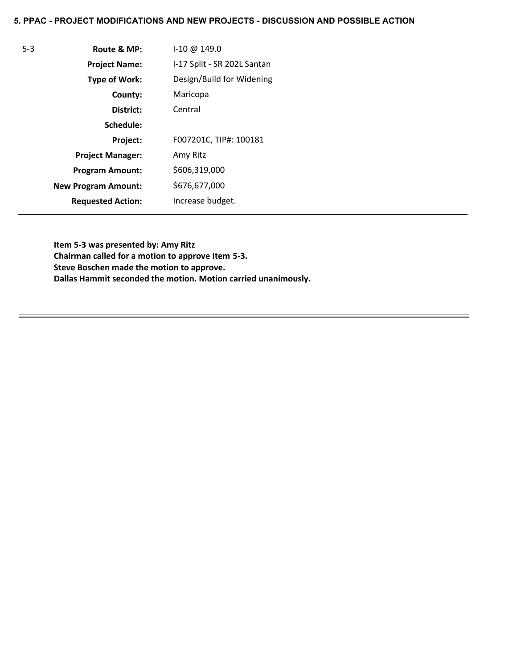# **5. PPAC - PROJECT MODIFICATIONS AND NEW PROJECTS - DISCUSSION AND POSSIBLE ACTION**

| $5 - 3$ | Route & MP:                | 1-10 @ 149.0                |
|---------|----------------------------|-----------------------------|
|         | <b>Project Name:</b>       | I-17 Split - SR 202L Santan |
|         | <b>Type of Work:</b>       | Design/Build for Widening   |
|         | County:                    | Maricopa                    |
|         | District:                  | Central                     |
|         | Schedule:                  |                             |
|         | Project:                   | F007201C, TIP#: 100181      |
|         | <b>Project Manager:</b>    | Amy Ritz                    |
|         | <b>Program Amount:</b>     | \$606,319,000               |
|         | <b>New Program Amount:</b> | \$676,677,000               |
|         | <b>Requested Action:</b>   | Increase budget.            |

**Item 5-3 was presented by: Amy Ritz Chairman called for a motion to approve Item 5-3. Steve Boschen made the motion to approve. Dallas Hammit seconded the motion. Motion carried unanimously.**